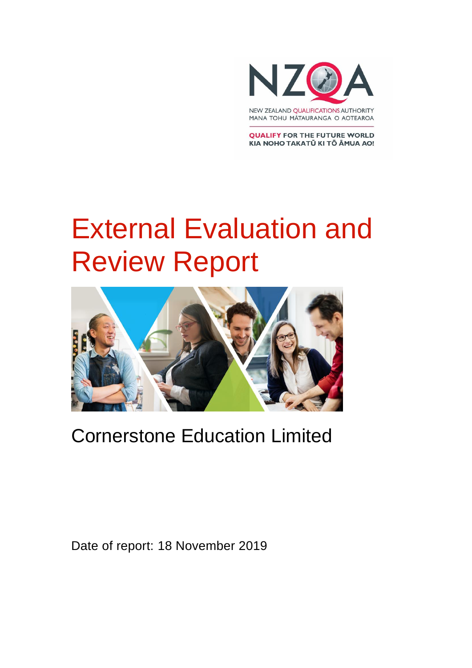

MANA TOHU MĂTAURANGA O AOTEAROA

**QUALIFY FOR THE FUTURE WORLD** KIA NOHO TAKATŪ KI TŌ ĀMUA AO!

# External Evaluation and Review Report



### Cornerstone Education Limited

Date of report: 18 November 2019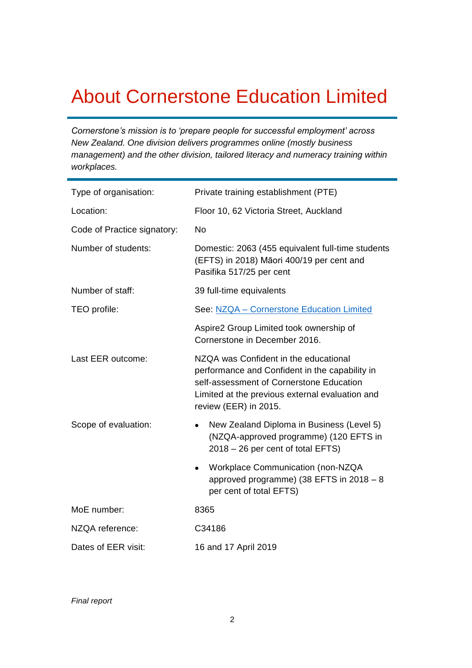### About Cornerstone Education Limited

*Cornerstone's mission is to 'prepare people for successful employment' across New Zealand. One division delivers programmes online (mostly business management) and the other division, tailored literacy and numeracy training within workplaces.* 

| Type of organisation:       | Private training establishment (PTE)                                                                                                                                                                            |
|-----------------------------|-----------------------------------------------------------------------------------------------------------------------------------------------------------------------------------------------------------------|
| Location:                   | Floor 10, 62 Victoria Street, Auckland                                                                                                                                                                          |
| Code of Practice signatory: | <b>No</b>                                                                                                                                                                                                       |
| Number of students:         | Domestic: 2063 (455 equivalent full-time students<br>(EFTS) in 2018) Māori 400/19 per cent and<br>Pasifika 517/25 per cent                                                                                      |
| Number of staff:            | 39 full-time equivalents                                                                                                                                                                                        |
| TEO profile:                | See: NZQA - Cornerstone Education Limited                                                                                                                                                                       |
|                             | Aspire2 Group Limited took ownership of<br>Cornerstone in December 2016.                                                                                                                                        |
| Last EER outcome:           | NZQA was Confident in the educational<br>performance and Confident in the capability in<br>self-assessment of Cornerstone Education<br>Limited at the previous external evaluation and<br>review (EER) in 2015. |
| Scope of evaluation:        | New Zealand Diploma in Business (Level 5)<br>$\bullet$<br>(NZQA-approved programme) (120 EFTS in<br>$2018 - 26$ per cent of total EFTS)                                                                         |
|                             | Workplace Communication (non-NZQA<br>$\bullet$<br>approved programme) (38 EFTS in $2018 - 8$<br>per cent of total EFTS)                                                                                         |
| MoE number:                 | 8365                                                                                                                                                                                                            |
| NZQA reference:             | C34186                                                                                                                                                                                                          |
| Dates of EER visit:         | 16 and 17 April 2019                                                                                                                                                                                            |

*Final report*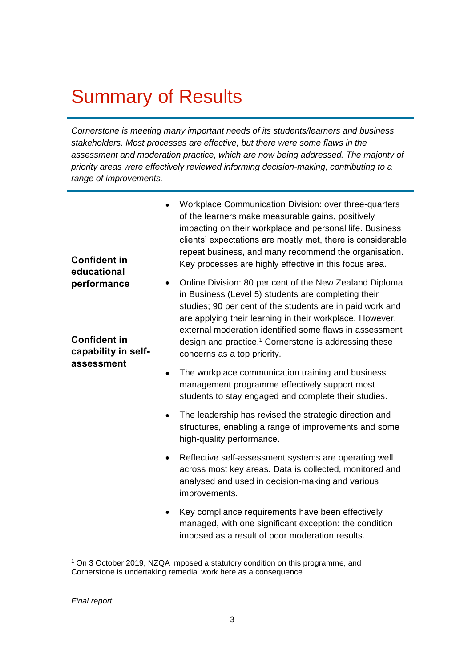### Summary of Results

*Cornerstone is meeting many important needs of its students/learners and business stakeholders. Most processes are effective, but there were some flaws in the assessment and moderation practice, which are now being addressed. The majority of priority areas were effectively reviewed informing decision-making, contributing to a range of improvements.* 

| <b>Confident in</b><br>educational                                      | Workplace Communication Division: over three-quarters<br>of the learners make measurable gains, positively<br>impacting on their workplace and personal life. Business<br>clients' expectations are mostly met, there is considerable<br>repeat business, and many recommend the organisation.<br>Key processes are highly effective in this focus area.                                                    |
|-------------------------------------------------------------------------|-------------------------------------------------------------------------------------------------------------------------------------------------------------------------------------------------------------------------------------------------------------------------------------------------------------------------------------------------------------------------------------------------------------|
| performance<br><b>Confident in</b><br>capability in self-<br>assessment | Online Division: 80 per cent of the New Zealand Diploma<br>٠<br>in Business (Level 5) students are completing their<br>studies; 90 per cent of the students are in paid work and<br>are applying their learning in their workplace. However,<br>external moderation identified some flaws in assessment<br>design and practice. <sup>1</sup> Cornerstone is addressing these<br>concerns as a top priority. |
|                                                                         | The workplace communication training and business<br>$\bullet$<br>management programme effectively support most<br>students to stay engaged and complete their studies.                                                                                                                                                                                                                                     |
|                                                                         | The leadership has revised the strategic direction and<br>structures, enabling a range of improvements and some<br>high-quality performance.                                                                                                                                                                                                                                                                |
|                                                                         | Reflective self-assessment systems are operating well<br>$\bullet$<br>across most key areas. Data is collected, monitored and<br>analysed and used in decision-making and various<br>improvements.                                                                                                                                                                                                          |
|                                                                         | Key compliance requirements have been effectively<br>managed, with one significant exception: the condition<br>imposed as a result of poor moderation results.                                                                                                                                                                                                                                              |

<sup>1</sup> On 3 October 2019, NZQA imposed a statutory condition on this programme, and Cornerstone is undertaking remedial work here as a consequence.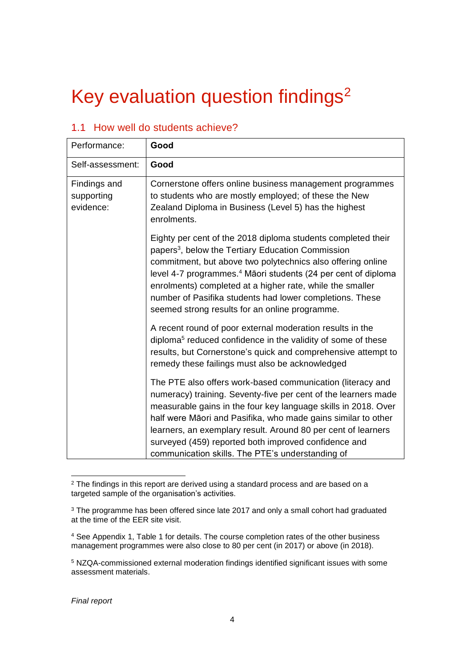# Key evaluation question findings<sup>2</sup>

| Performance:                            | Good                                                                                                                                                                                                                                                                                                                                                                                                                                                 |
|-----------------------------------------|------------------------------------------------------------------------------------------------------------------------------------------------------------------------------------------------------------------------------------------------------------------------------------------------------------------------------------------------------------------------------------------------------------------------------------------------------|
| Self-assessment:                        | Good                                                                                                                                                                                                                                                                                                                                                                                                                                                 |
| Findings and<br>supporting<br>evidence: | Cornerstone offers online business management programmes<br>to students who are mostly employed; of these the New<br>Zealand Diploma in Business (Level 5) has the highest<br>enrolments.                                                                                                                                                                                                                                                            |
|                                         | Eighty per cent of the 2018 diploma students completed their<br>papers <sup>3</sup> , below the Tertiary Education Commission<br>commitment, but above two polytechnics also offering online<br>level 4-7 programmes. <sup>4</sup> Māori students (24 per cent of diploma<br>enrolments) completed at a higher rate, while the smaller<br>number of Pasifika students had lower completions. These<br>seemed strong results for an online programme. |
|                                         | A recent round of poor external moderation results in the<br>diploma <sup>5</sup> reduced confidence in the validity of some of these<br>results, but Cornerstone's quick and comprehensive attempt to<br>remedy these failings must also be acknowledged                                                                                                                                                                                            |
|                                         | The PTE also offers work-based communication (literacy and<br>numeracy) training. Seventy-five per cent of the learners made<br>measurable gains in the four key language skills in 2018. Over<br>half were Māori and Pasifika, who made gains similar to other<br>learners, an exemplary result. Around 80 per cent of learners<br>surveyed (459) reported both improved confidence and<br>communication skills. The PTE's understanding of         |

#### 1.1 How well do students achieve?

 $\overline{a}$ <sup>2</sup> The findings in this report are derived using a standard process and are based on a targeted sample of the organisation's activities.

<sup>&</sup>lt;sup>3</sup> The programme has been offered since late 2017 and only a small cohort had graduated at the time of the EER site visit.

<sup>4</sup> See Appendix 1, Table 1 for details. The course completion rates of the other business management programmes were also close to 80 per cent (in 2017) or above (in 2018).

<sup>5</sup> NZQA-commissioned external moderation findings identified significant issues with some assessment materials.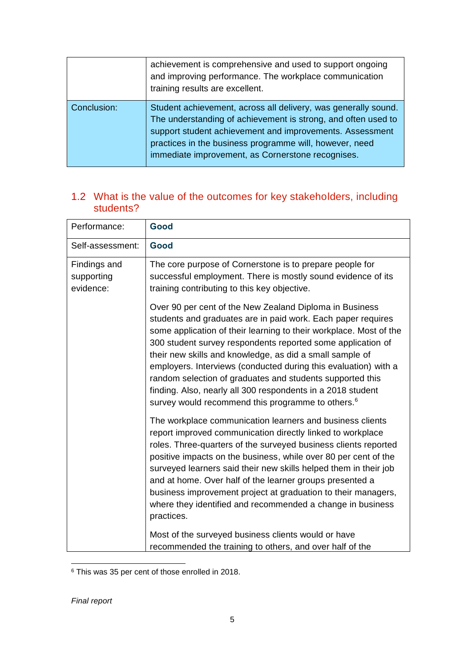|             | achievement is comprehensive and used to support ongoing<br>and improving performance. The workplace communication<br>training results are excellent.                                                                                                                                                       |
|-------------|-------------------------------------------------------------------------------------------------------------------------------------------------------------------------------------------------------------------------------------------------------------------------------------------------------------|
| Conclusion: | Student achievement, across all delivery, was generally sound.<br>The understanding of achievement is strong, and often used to<br>support student achievement and improvements. Assessment<br>practices in the business programme will, however, need<br>immediate improvement, as Cornerstone recognises. |

#### 1.2 What is the value of the outcomes for key stakeholders, including students?

| Performance:                            | Good                                                                                                                                                                                                                                                                                                                                                                                                                                                                                                                                                                                              |
|-----------------------------------------|---------------------------------------------------------------------------------------------------------------------------------------------------------------------------------------------------------------------------------------------------------------------------------------------------------------------------------------------------------------------------------------------------------------------------------------------------------------------------------------------------------------------------------------------------------------------------------------------------|
| Self-assessment:                        | Good                                                                                                                                                                                                                                                                                                                                                                                                                                                                                                                                                                                              |
| Findings and<br>supporting<br>evidence: | The core purpose of Cornerstone is to prepare people for<br>successful employment. There is mostly sound evidence of its<br>training contributing to this key objective.                                                                                                                                                                                                                                                                                                                                                                                                                          |
|                                         | Over 90 per cent of the New Zealand Diploma in Business<br>students and graduates are in paid work. Each paper requires<br>some application of their learning to their workplace. Most of the<br>300 student survey respondents reported some application of<br>their new skills and knowledge, as did a small sample of<br>employers. Interviews (conducted during this evaluation) with a<br>random selection of graduates and students supported this<br>finding. Also, nearly all 300 respondents in a 2018 student<br>survey would recommend this programme to others. <sup>6</sup>          |
|                                         | The workplace communication learners and business clients<br>report improved communication directly linked to workplace<br>roles. Three-quarters of the surveyed business clients reported<br>positive impacts on the business, while over 80 per cent of the<br>surveyed learners said their new skills helped them in their job<br>and at home. Over half of the learner groups presented a<br>business improvement project at graduation to their managers,<br>where they identified and recommended a change in business<br>practices.<br>Most of the surveyed business clients would or have |
|                                         | recommended the training to others, and over half of the                                                                                                                                                                                                                                                                                                                                                                                                                                                                                                                                          |

 $\overline{a}$ <sup>6</sup> This was 35 per cent of those enrolled in 2018.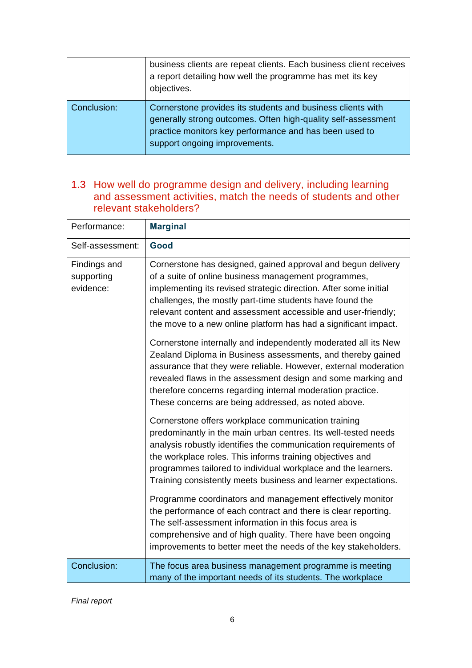|             | business clients are repeat clients. Each business client receives<br>a report detailing how well the programme has met its key<br>objectives.                                                                          |
|-------------|-------------------------------------------------------------------------------------------------------------------------------------------------------------------------------------------------------------------------|
| Conclusion: | Cornerstone provides its students and business clients with<br>generally strong outcomes. Often high-quality self-assessment<br>practice monitors key performance and has been used to<br>support ongoing improvements. |

#### 1.3 How well do programme design and delivery, including learning and assessment activities, match the needs of students and other relevant stakeholders?

| Performance:                            | <b>Marginal</b>                                                                                                                                                                                                                                                                                                                                                                                                                                                                                                                                                                                                                                                                                                                                                                   |
|-----------------------------------------|-----------------------------------------------------------------------------------------------------------------------------------------------------------------------------------------------------------------------------------------------------------------------------------------------------------------------------------------------------------------------------------------------------------------------------------------------------------------------------------------------------------------------------------------------------------------------------------------------------------------------------------------------------------------------------------------------------------------------------------------------------------------------------------|
| Self-assessment:                        | Good                                                                                                                                                                                                                                                                                                                                                                                                                                                                                                                                                                                                                                                                                                                                                                              |
| Findings and<br>supporting<br>evidence: | Cornerstone has designed, gained approval and begun delivery<br>of a suite of online business management programmes,<br>implementing its revised strategic direction. After some initial<br>challenges, the mostly part-time students have found the<br>relevant content and assessment accessible and user-friendly;<br>the move to a new online platform has had a significant impact.<br>Cornerstone internally and independently moderated all its New<br>Zealand Diploma in Business assessments, and thereby gained<br>assurance that they were reliable. However, external moderation<br>revealed flaws in the assessment design and some marking and<br>therefore concerns regarding internal moderation practice.<br>These concerns are being addressed, as noted above. |
|                                         | Cornerstone offers workplace communication training<br>predominantly in the main urban centres. Its well-tested needs<br>analysis robustly identifies the communication requirements of<br>the workplace roles. This informs training objectives and<br>programmes tailored to individual workplace and the learners.<br>Training consistently meets business and learner expectations.<br>Programme coordinators and management effectively monitor<br>the performance of each contract and there is clear reporting.                                                                                                                                                                                                                                                            |
|                                         | The self-assessment information in this focus area is<br>comprehensive and of high quality. There have been ongoing<br>improvements to better meet the needs of the key stakeholders.                                                                                                                                                                                                                                                                                                                                                                                                                                                                                                                                                                                             |
| Conclusion:                             | The focus area business management programme is meeting<br>many of the important needs of its students. The workplace                                                                                                                                                                                                                                                                                                                                                                                                                                                                                                                                                                                                                                                             |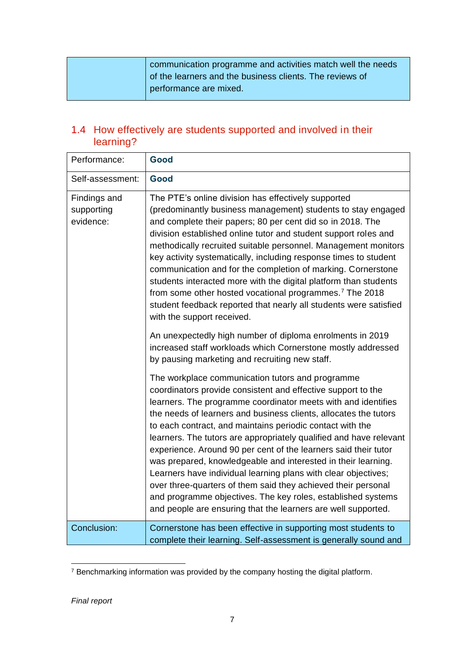|  | communication programme and activities match well the needs |
|--|-------------------------------------------------------------|
|  | of the learners and the business clients. The reviews of    |
|  | performance are mixed.                                      |

#### 1.4 How effectively are students supported and involved in their learning?

| Performance:                            | Good                                                                                                                                                                                                                                                                                                                                                                                                                                                                                                                                                                                                                                                                                                                                                                                             |
|-----------------------------------------|--------------------------------------------------------------------------------------------------------------------------------------------------------------------------------------------------------------------------------------------------------------------------------------------------------------------------------------------------------------------------------------------------------------------------------------------------------------------------------------------------------------------------------------------------------------------------------------------------------------------------------------------------------------------------------------------------------------------------------------------------------------------------------------------------|
| Self-assessment:                        | Good                                                                                                                                                                                                                                                                                                                                                                                                                                                                                                                                                                                                                                                                                                                                                                                             |
| Findings and<br>supporting<br>evidence: | The PTE's online division has effectively supported<br>(predominantly business management) students to stay engaged<br>and complete their papers; 80 per cent did so in 2018. The<br>division established online tutor and student support roles and<br>methodically recruited suitable personnel. Management monitors<br>key activity systematically, including response times to student<br>communication and for the completion of marking. Cornerstone<br>students interacted more with the digital platform than students<br>from some other hosted vocational programmes. <sup>7</sup> The 2018<br>student feedback reported that nearly all students were satisfied<br>with the support received.                                                                                         |
|                                         | An unexpectedly high number of diploma enrolments in 2019<br>increased staff workloads which Cornerstone mostly addressed<br>by pausing marketing and recruiting new staff.                                                                                                                                                                                                                                                                                                                                                                                                                                                                                                                                                                                                                      |
|                                         | The workplace communication tutors and programme<br>coordinators provide consistent and effective support to the<br>learners. The programme coordinator meets with and identifies<br>the needs of learners and business clients, allocates the tutors<br>to each contract, and maintains periodic contact with the<br>learners. The tutors are appropriately qualified and have relevant<br>experience. Around 90 per cent of the learners said their tutor<br>was prepared, knowledgeable and interested in their learning.<br>Learners have individual learning plans with clear objectives;<br>over three-quarters of them said they achieved their personal<br>and programme objectives. The key roles, established systems<br>and people are ensuring that the learners are well supported. |
| Conclusion:                             | Cornerstone has been effective in supporting most students to<br>complete their learning. Self-assessment is generally sound and                                                                                                                                                                                                                                                                                                                                                                                                                                                                                                                                                                                                                                                                 |

 $\overline{a}$  $7$  Benchmarking information was provided by the company hosting the digital platform.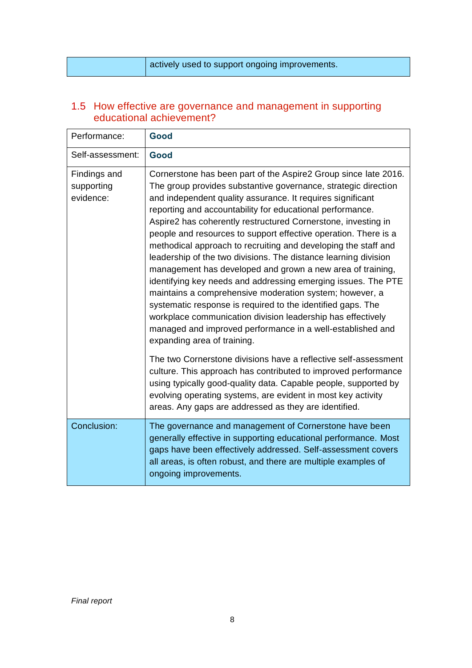|  |  |  | actively used to support ongoing improvements. |
|--|--|--|------------------------------------------------|
|--|--|--|------------------------------------------------|

#### 1.5 How effective are governance and management in supporting educational achievement?

| Performance:                            | Good                                                                                                                                                                                                                                                                                                                                                                                                                                                                                                                                                                                                                                                                                                                                                                                                                                                                                                                                                       |
|-----------------------------------------|------------------------------------------------------------------------------------------------------------------------------------------------------------------------------------------------------------------------------------------------------------------------------------------------------------------------------------------------------------------------------------------------------------------------------------------------------------------------------------------------------------------------------------------------------------------------------------------------------------------------------------------------------------------------------------------------------------------------------------------------------------------------------------------------------------------------------------------------------------------------------------------------------------------------------------------------------------|
| Self-assessment:                        | Good                                                                                                                                                                                                                                                                                                                                                                                                                                                                                                                                                                                                                                                                                                                                                                                                                                                                                                                                                       |
| Findings and<br>supporting<br>evidence: | Cornerstone has been part of the Aspire2 Group since late 2016.<br>The group provides substantive governance, strategic direction<br>and independent quality assurance. It requires significant<br>reporting and accountability for educational performance.<br>Aspire2 has coherently restructured Cornerstone, investing in<br>people and resources to support effective operation. There is a<br>methodical approach to recruiting and developing the staff and<br>leadership of the two divisions. The distance learning division<br>management has developed and grown a new area of training,<br>identifying key needs and addressing emerging issues. The PTE<br>maintains a comprehensive moderation system; however, a<br>systematic response is required to the identified gaps. The<br>workplace communication division leadership has effectively<br>managed and improved performance in a well-established and<br>expanding area of training. |
|                                         | The two Cornerstone divisions have a reflective self-assessment<br>culture. This approach has contributed to improved performance<br>using typically good-quality data. Capable people, supported by<br>evolving operating systems, are evident in most key activity<br>areas. Any gaps are addressed as they are identified.                                                                                                                                                                                                                                                                                                                                                                                                                                                                                                                                                                                                                              |
| Conclusion:                             | The governance and management of Cornerstone have been<br>generally effective in supporting educational performance. Most<br>gaps have been effectively addressed. Self-assessment covers<br>all areas, is often robust, and there are multiple examples of<br>ongoing improvements.                                                                                                                                                                                                                                                                                                                                                                                                                                                                                                                                                                                                                                                                       |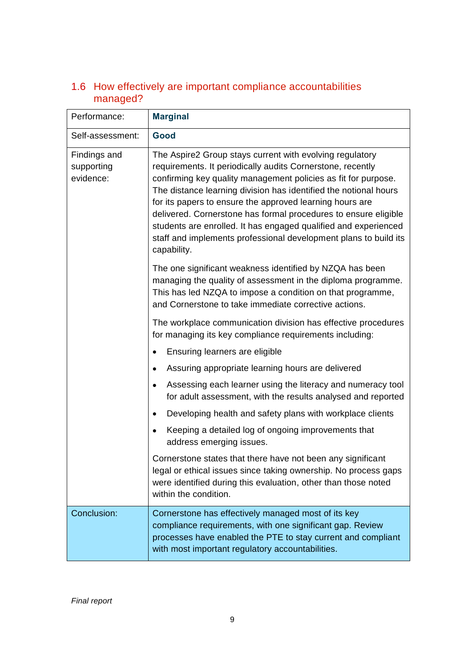| Performance:                            | <b>Marginal</b>                                                                                                                                                                                                                                                                                                                                                                                                                                                                                                                                   |
|-----------------------------------------|---------------------------------------------------------------------------------------------------------------------------------------------------------------------------------------------------------------------------------------------------------------------------------------------------------------------------------------------------------------------------------------------------------------------------------------------------------------------------------------------------------------------------------------------------|
| Self-assessment:                        | Good                                                                                                                                                                                                                                                                                                                                                                                                                                                                                                                                              |
| Findings and<br>supporting<br>evidence: | The Aspire2 Group stays current with evolving regulatory<br>requirements. It periodically audits Cornerstone, recently<br>confirming key quality management policies as fit for purpose.<br>The distance learning division has identified the notional hours<br>for its papers to ensure the approved learning hours are<br>delivered. Cornerstone has formal procedures to ensure eligible<br>students are enrolled. It has engaged qualified and experienced<br>staff and implements professional development plans to build its<br>capability. |
|                                         | The one significant weakness identified by NZQA has been<br>managing the quality of assessment in the diploma programme.<br>This has led NZQA to impose a condition on that programme,<br>and Cornerstone to take immediate corrective actions.                                                                                                                                                                                                                                                                                                   |
|                                         | The workplace communication division has effective procedures<br>for managing its key compliance requirements including:                                                                                                                                                                                                                                                                                                                                                                                                                          |
|                                         | Ensuring learners are eligible                                                                                                                                                                                                                                                                                                                                                                                                                                                                                                                    |
|                                         | Assuring appropriate learning hours are delivered                                                                                                                                                                                                                                                                                                                                                                                                                                                                                                 |
|                                         | Assessing each learner using the literacy and numeracy tool<br>$\bullet$<br>for adult assessment, with the results analysed and reported                                                                                                                                                                                                                                                                                                                                                                                                          |
|                                         | Developing health and safety plans with workplace clients                                                                                                                                                                                                                                                                                                                                                                                                                                                                                         |
|                                         | Keeping a detailed log of ongoing improvements that<br>address emerging issues.                                                                                                                                                                                                                                                                                                                                                                                                                                                                   |
|                                         | Cornerstone states that there have not been any significant<br>legal or ethical issues since taking ownership. No process gaps<br>were identified during this evaluation, other than those noted<br>within the condition.                                                                                                                                                                                                                                                                                                                         |
| Conclusion:                             | Cornerstone has effectively managed most of its key<br>compliance requirements, with one significant gap. Review<br>processes have enabled the PTE to stay current and compliant<br>with most important regulatory accountabilities.                                                                                                                                                                                                                                                                                                              |

#### 1.6 How effectively are important compliance accountabilities managed?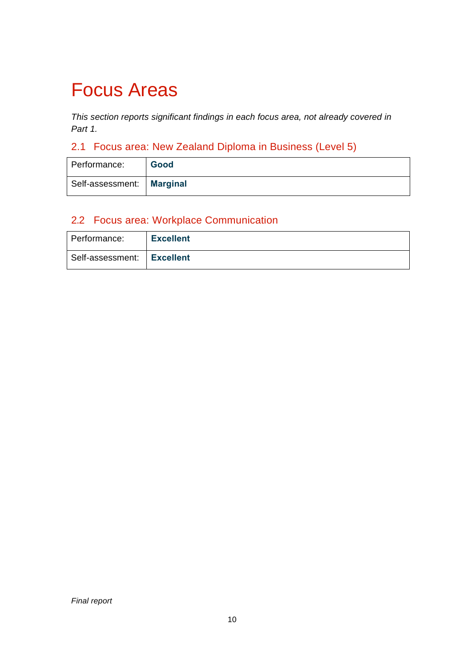### Focus Areas

*This section reports significant findings in each focus area, not already covered in Part 1.* 

### 2.1 Focus area: New Zealand Diploma in Business (Level 5)

| Performance:                | Good |
|-----------------------------|------|
| Self-assessment:   Marginal |      |

#### 2.2 Focus area: Workplace Communication

| Performance:                 | <b>Excellent</b> |
|------------------------------|------------------|
| Self-assessment:   Excellent |                  |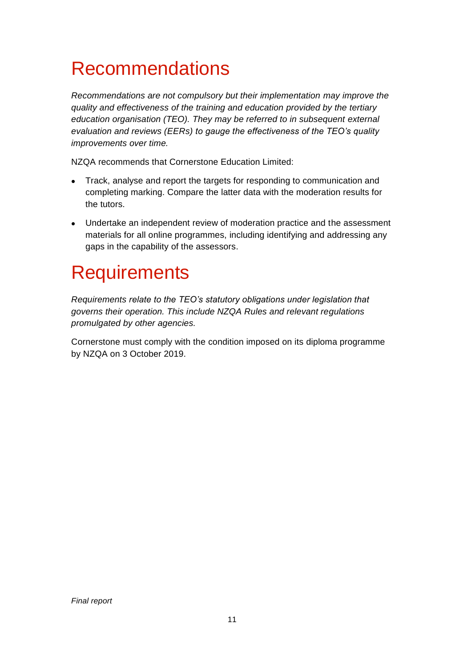## Recommendations

*Recommendations are not compulsory but their implementation may improve the quality and effectiveness of the training and education provided by the tertiary education organisation (TEO). They may be referred to in subsequent external evaluation and reviews (EERs) to gauge the effectiveness of the TEO's quality improvements over time.*

NZQA recommends that Cornerstone Education Limited:

- Track, analyse and report the targets for responding to communication and completing marking. Compare the latter data with the moderation results for the tutors.
- Undertake an independent review of moderation practice and the assessment materials for all online programmes, including identifying and addressing any gaps in the capability of the assessors.

### **Requirements**

*Requirements relate to the TEO's statutory obligations under legislation that governs their operation. This include NZQA Rules and relevant regulations promulgated by other agencies.*

Cornerstone must comply with the condition imposed on its diploma programme by NZQA on 3 October 2019.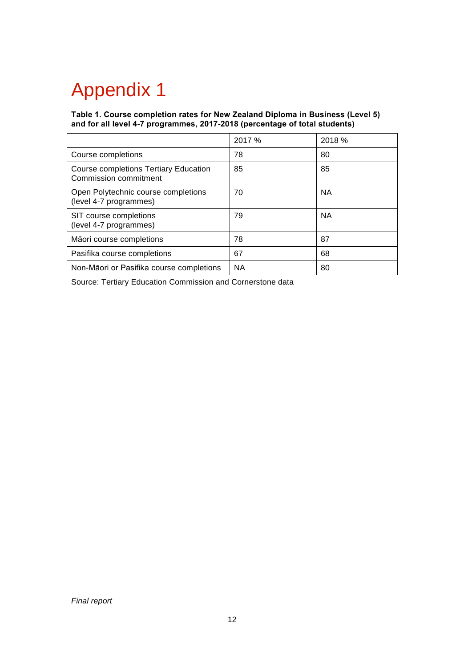# Appendix 1

**Table 1. Course completion rates for New Zealand Diploma in Business (Level 5) and for all level 4-7 programmes, 2017-2018 (percentage of total students)**

|                                                                | 2017 % | 2018 %    |
|----------------------------------------------------------------|--------|-----------|
| Course completions                                             | 78     | 80        |
| Course completions Tertiary Education<br>Commission commitment | 85     | 85        |
| Open Polytechnic course completions<br>(level 4-7 programmes)  | 70     | <b>NA</b> |
| SIT course completions<br>(level 4-7 programmes)               | 79     | <b>NA</b> |
| Māori course completions                                       | 78     | 87        |
| Pasifika course completions                                    | 67     | 68        |
| Non-Māori or Pasifika course completions                       | NА     | 80        |

Source: Tertiary Education Commission and Cornerstone data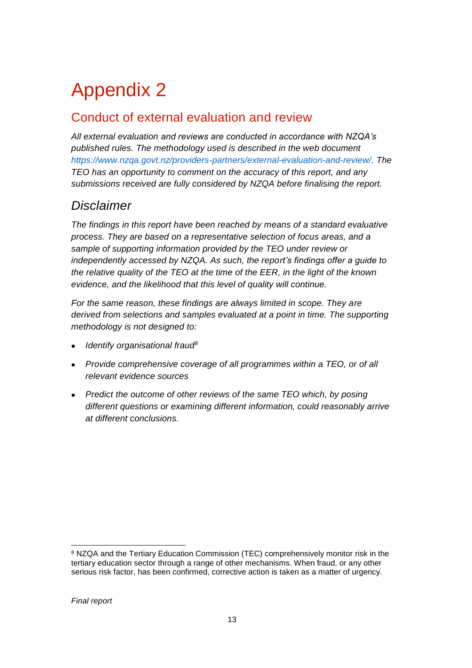# Appendix 2

### Conduct of external evaluation and review

*All external evaluation and reviews are conducted in accordance with NZQA's published rules. The methodology used is described in the web document [https://www.nzqa.govt.nz/providers-partners/external-evaluation-and-review/.](https://www.nzqa.govt.nz/providers-partners/external-evaluation-and-review/) The TEO has an opportunity to comment on the accuracy of this report, and any submissions received are fully considered by NZQA before finalising the report.*

#### *Disclaimer*

*The findings in this report have been reached by means of a standard evaluative process. They are based on a representative selection of focus areas, and a sample of supporting information provided by the TEO under review or independently accessed by NZQA. As such, the report's findings offer a guide to the relative quality of the TEO at the time of the EER, in the light of the known evidence, and the likelihood that this level of quality will continue.* 

*For the same reason, these findings are always limited in scope. They are derived from selections and samples evaluated at a point in time. The supporting methodology is not designed to:*

- *Identify organisational fraud<sup>8</sup>*
- *Provide comprehensive coverage of all programmes within a TEO, or of all relevant evidence sources*
- *Predict the outcome of other reviews of the same TEO which, by posing different questions or examining different information, could reasonably arrive at different conclusions.*

<sup>8</sup> NZQA and the Tertiary Education Commission (TEC) comprehensively monitor risk in the tertiary education sector through a range of other mechanisms. When fraud, or any other serious risk factor, has been confirmed, corrective action is taken as a matter of urgency.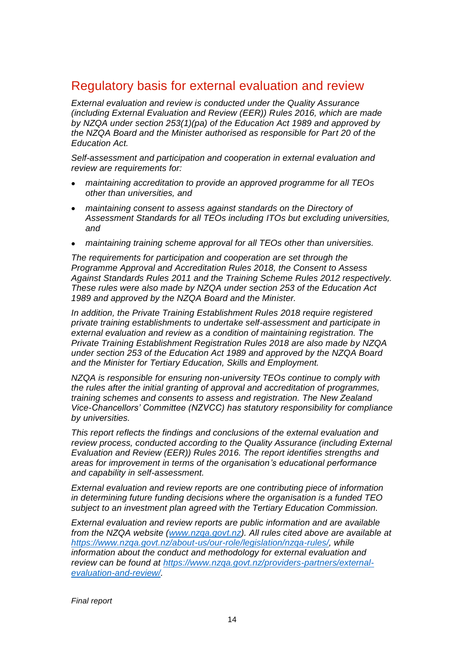#### Regulatory basis for external evaluation and review

*External evaluation and review is conducted under the Quality Assurance (including External Evaluation and Review (EER)) Rules 2016, which are made by NZQA under section 253(1)(pa) of the Education Act 1989 and approved by the NZQA Board and the Minister authorised as responsible for Part 20 of the Education Act.*

*Self-assessment and participation and cooperation in external evaluation and review are requirements for:*

- *maintaining accreditation to provide an approved programme for all TEOs other than universities, and*
- *maintaining consent to assess against standards on the Directory of Assessment Standards for all TEOs including ITOs but excluding universities, and*
- *maintaining training scheme approval for all TEOs other than universities.*

*The requirements for participation and cooperation are set through the Programme Approval and Accreditation Rules 2018, the Consent to Assess Against Standards Rules 2011 and the Training Scheme Rules 2012 respectively. These rules were also made by NZQA under section 253 of the Education Act 1989 and approved by the NZQA Board and the Minister.*

*In addition, the Private Training Establishment Rules 2018 require registered private training establishments to undertake self-assessment and participate in external evaluation and review as a condition of maintaining registration. The Private Training Establishment Registration Rules 2018 are also made by NZQA under section 253 of the Education Act 1989 and approved by the NZQA Board and the Minister for Tertiary Education, Skills and Employment.* 

*NZQA is responsible for ensuring non-university TEOs continue to comply with the rules after the initial granting of approval and accreditation of programmes, training schemes and consents to assess and registration. The New Zealand Vice-Chancellors' Committee (NZVCC) has statutory responsibility for compliance by universities.* 

*This report reflects the findings and conclusions of the external evaluation and review process, conducted according to the Quality Assurance (including External Evaluation and Review (EER)) Rules 2016. The report identifies strengths and areas for improvement in terms of the organisation's educational performance and capability in self-assessment.*

*External evaluation and review reports are one contributing piece of information in determining future funding decisions where the organisation is a funded TEO subject to an investment plan agreed with the Tertiary Education Commission.* 

*External evaluation and review reports are public information and are available from the NZQA website [\(www.nzqa.govt.nz\)](http://www.nzqa.govt.nz/). All rules cited above are available at [https://www.nzqa.govt.nz/about-us/our-role/legislation/nzqa-rules/,](https://www.nzqa.govt.nz/about-us/our-role/legislation/nzqa-rules/) while information about the conduct and methodology for external evaluation and review can be found at [https://www.nzqa.govt.nz/providers-partners/external](https://www.nzqa.govt.nz/providers-partners/external-evaluation-and-review/)[evaluation-and-review/.](https://www.nzqa.govt.nz/providers-partners/external-evaluation-and-review/)*

*Final report*